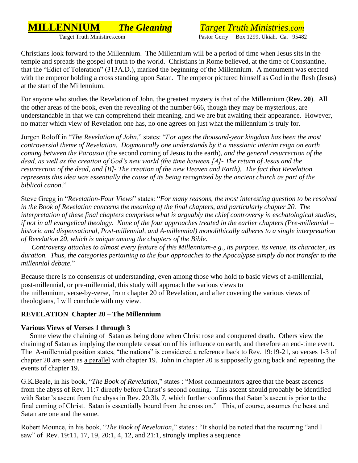# **MILLENNIUM** *The Gleaning Target Truth Ministries.com*

Pastor Gerry Box 1299, Ukiah. Ca. 95482

Christians look forward to the Millennium. The Millennium will be a period of time when Jesus sits in the temple and spreads the gospel of truth to the world. Christians in Rome believed, at the time of Constantine, that the "Edict of Toleration" (313A.D.), marked the beginning of the Millennium. A monument was erected with the emperor holding a cross standing upon Satan. The emperor pictured himself as God in the flesh (Jesus) at the start of the Millennium.

For anyone who studies the Revelation of John, the greatest mystery is that of the Millennium (**Rev. 20**). All the other areas of the book, even the revealing of the number 666, though they may be mysterious, are understandable in that we can comprehend their meaning, and we are but awaiting their appearance. However, no matter which view of Revelation one has, no one agrees on just what the millennium is truly for.

Jurgen Roloff in "*The Revelation of John*," states: "*For ages the thousand-year kingdom has been the most controversial theme of Revelation. Dogmatically one understands by it a messianic interim reign on earth coming between the Parousia* (the second coming of Jesus to the earth), *and the general resurrection of the dead, as well as the creation of God's new world (the time between [A]- The return of Jesus and the resurrection of the dead, and [B]- The creation of the new Heaven and Earth). The fact that Revelation represents this idea was essentially the cause of its being recognized by the ancient church as part of the biblical canon*."

Steve Gregg in "*Revelation-Four Views*" states: "*For many reasons, the most interesting question to be resolved in the Book of Revelation concerns the meaning of the final chapters, and particularly chapter 20. The interpretation of these final chapters comprises what is arguably the chief controversy in eschatological studies, if not in all evangelical theology. None of the four approaches treated in the earlier chapters (Pre-millennial – historic and dispensational, Post-millennial, and A-millennial) monolithically adheres to a single interpretation of Revelation 20, which is unique among the chapters of the Bible*.

 *Controversy attaches to almost every feature of this Millennium-e.g., its purpose, its venue, its character, its duration. Thus, the categories pertaining to the four approaches to the Apocalypse simply do not transfer to the millennial debate*."

Because there is no consensus of understanding, even among those who hold to basic views of a-millennial, post-millennial, or pre-millennial, this study will approach the various views to the millennium, verse-by-verse, from chapter 20 of Revelation, and after covering the various views of theologians, I will conclude with my view.

#### **REVELATION Chapter 20 – The Millennium**

# **Various Views of Verses 1 through 3**

 Some view the chaining of Satan as being done when Christ rose and conquered death. Others view the chaining of Satan as implying the complete cessation of his influence on earth, and therefore an end-time event. The A-millennial position states, "the nations" is considered a reference back to Rev. 19:19-21, so verses 1-3 of chapter 20 are seen as a parallel with chapter 19. John in chapter 20 is supposedly going back and repeating the events of chapter 19.

G.K.Beale, in his book, "*The Book of Revelation*," states : "Most commentators agree that the beast ascends from the abyss of Rev. 11:7 directly before Christ's second coming. This ascent should probably be identified with Satan's ascent from the abyss in Rev. 20:3b, 7, which further confirms that Satan's ascent is prior to the final coming of Christ. Satan is essentially bound from the cross on." This, of course, assumes the beast and Satan are one and the same.

Robert Mounce, in his book, "*The Book of Revelation*," states : "It should be noted that the recurring "and I saw" of Rev. 19:11, 17, 19, 20:1, 4, 12, and 21:1, strongly implies a sequence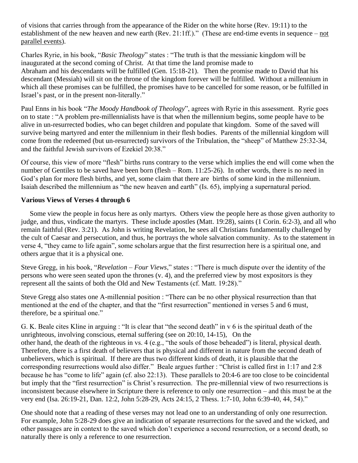of visions that carries through from the appearance of the Rider on the white horse (Rev. 19:11) to the establishment of the new heaven and new earth (Rev. 21:1ff.)." (These are end-time events in sequence – not parallel events).

Charles Ryrie, in his book, "*Basic Theology*" states : "The truth is that the messianic kingdom will be inaugurated at the second coming of Christ. At that time the land promise made to Abraham and his descendants will be fulfilled (Gen. 15:18-21). Then the promise made to David that his descendant (Messiah) will sit on the throne of the kingdom forever will be fulfilled. Without a millennium in which all these promises can be fulfilled, the promises have to be cancelled for some reason, or be fulfilled in Israel's past, or in the present non-literally."

Paul Enns in his book "*The Moody Handbook of Theology*", agrees with Ryrie in this assessment. Ryrie goes on to state : "A problem pre-millennialists have is that when the millennium begins, some people have to be alive in un-resurrected bodies, who can beget children and populate that kingdom. Some of the saved will survive being martyred and enter the millennium in their flesh bodies. Parents of the millennial kingdom will come from the redeemed (but un-resurrected) survivors of the Tribulation, the "sheep" of Matthew 25:32-34, and the faithful Jewish survivors of Ezekiel 20:38."

Of course, this view of more "flesh" births runs contrary to the verse which implies the end will come when the number of Gentiles to be saved have been born (flesh – Rom. 11:25-26). In other words, there is no need in God's plan for more flesh births, and yet, some claim that there are births of some kind in the millennium. Isaiah described the millennium as "the new heaven and earth" (Is. 65), implying a supernatural period.

#### **Various Views of Verses 4 through 6**

 Some view the people in focus here as only martyrs. Others view the people here as those given authority to judge, and thus, vindicate the martyrs. These include apostles (Matt. 19:28), saints (1 Corin. 6:2-3), and all who remain faithful (Rev. 3:21). As John is writing Revelation, he sees all Christians fundamentally challenged by the cult of Caesar and persecution, and thus, he portrays the whole salvation community. As to the statement in verse 4, "they came to life again", some scholars argue that the first resurrection here is a spiritual one, and others argue that it is a physical one.

Steve Gregg, in his book, "*Revelation – Four Views*," states : "There is much dispute over the identity of the persons who were seen seated upon the thrones (v. 4), and the preferred view by most expositors is they represent all the saints of both the Old and New Testaments (cf. Matt. 19:28)."

Steve Gregg also states one A-millennial position : "There can be no other physical resurrection than that mentioned at the end of the chapter, and that the "first resurrection" mentioned in verses 5 and 6 must, therefore, be a spiritual one."

G. K. Beale cites Kline in arguing : "It is clear that "the second death" in v 6 is the spiritual death of the unrighteous, involving conscious, eternal suffering (see on 20:10, 14-15), On the other hand, the death of the righteous in vs. 4 (e.g., "the souls of those beheaded") is literal, physical death. Therefore, there is a first death of believers that is physical and different in nature from the second death of unbelievers, which is spiritual. If there are thus two different kinds of death, it is plausible that the corresponding resurrections would also differ." Beale argues further : "Christ is called first in 1:17 and 2:8 because he has "come to life" again (cf. also 22:13). These parallels to 20:4-6 are too close to be coincidental but imply that the "first resurrection" is Christ's resurrection. The pre-millennial view of two resurrections is inconsistent because elsewhere in Scripture there is reference to only one resurrection – and this must be at the very end (Isa. 26:19-21, Dan. 12:2, John 5:28-29, Acts 24:15, 2 Thess. 1:7-10, John 6:39-40, 44, 54)."

One should note that a reading of these verses may not lead one to an understanding of only one resurrection. For example, John 5:28-29 does give an indication of separate resurrections for the saved and the wicked, and other passages are in context to the saved which don't experience a second resurrection, or a second death, so naturally there is only a reference to one resurrection.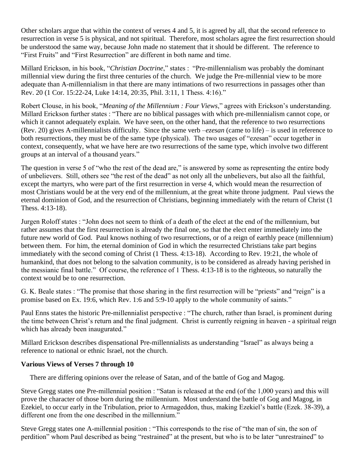Other scholars argue that within the context of verses 4 and 5, it is agreed by all, that the second reference to resurrection in verse 5 is physical, and not spiritual. Therefore, most scholars agree the first resurrection should be understood the same way, because John made no statement that it should be different. The reference to "First Fruits" and "First Resurrection" are different in both name and time.

Millard Erickson, in his book, "*Christian Doctrine*," states : "Pre-millennialism was probably the dominant millennial view during the first three centuries of the church. We judge the Pre-millennial view to be more adequate than A-millennialism in that there are many intimations of two resurrections in passages other than Rev. 20 (1 Cor. 15:22-24, Luke 14:14, 20:35, Phil. 3:11, 1 Thess. 4:16)."

Robert Clouse, in his book, "*Meaning of the Millennium : Four Views*," agrees with Erickson's understanding. Millard Erickson further states : "There are no biblical passages with which pre-millennialism cannot cope, or which it cannot adequately explain. We have seen, on the other hand, that the reference to two resurrections (Rev. 20) gives A-millennialists difficulty. Since the same verb –*ezesan* (came to life) – is used in reference to both resurrections, they must be of the same type (physical). The two usages of "ezesan" occur together in context, consequently, what we have here are two resurrections of the same type, which involve two different groups at an interval of a thousand years."

The question in verse 5 of "who the rest of the dead are," is answered by some as representing the entire body of unbelievers. Still, others see "the rest of the dead" as not only all the unbelievers, but also all the faithful, except the martyrs, who were part of the first resurrection in verse 4, which would mean the resurrection of most Christians would be at the very end of the millennium, at the great white throne judgment. Paul views the eternal dominion of God, and the resurrection of Christians, beginning immediately with the return of Christ (1 Thess. 4:13-18).

Jurgen Roloff states : "John does not seem to think of a death of the elect at the end of the millennium, but rather assumes that the first resurrection is already the final one, so that the elect enter immediately into the future new world of God. Paul knows nothing of two resurrections, or of a reign of earthly peace (millennium) between them. For him, the eternal dominion of God in which the resurrected Christians take part begins immediately with the second coming of Christ (1 Thess. 4:13-18). According to Rev. 19:21, the whole of humankind, that does not belong to the salvation community, is to be considered as already having perished in the messianic final battle." Of course, the reference of 1 Thess. 4:13-18 is to the righteous, so naturally the context would be to one resurrection.

G. K. Beale states : "The promise that those sharing in the first resurrection will be "priests" and "reign" is a promise based on Ex. 19:6, which Rev. 1:6 and 5:9-10 apply to the whole community of saints."

Paul Enns states the historic Pre-millennialist perspective : "The church, rather than Israel, is prominent during the time between Christ's return and the final judgment. Christ is currently reigning in heaven - a spiritual reign which has already been inaugurated."

Millard Erickson describes dispensational Pre-millennialists as understanding "Israel" as always being a reference to national or ethnic Israel, not the church.

#### **Various Views of Verses 7 through 10**

There are differing opinions over the release of Satan, and of the battle of Gog and Magog.

Steve Gregg states one Pre-millennial position : "Satan is released at the end (of the 1,000 years) and this will prove the character of those born during the millennium. Most understand the battle of Gog and Magog, in Ezekiel, to occur early in the Tribulation, prior to Armageddon, thus, making Ezekiel's battle (Ezek. 38-39), a different one from the one described in the millennium."

Steve Gregg states one A-millennial position : "This corresponds to the rise of "the man of sin, the son of perdition" whom Paul described as being "restrained" at the present, but who is to be later "unrestrained" to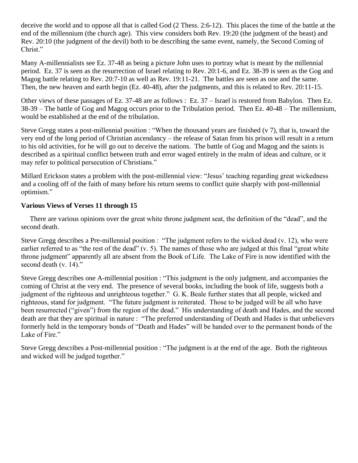deceive the world and to oppose all that is called God (2 Thess. 2:6-12). This places the time of the battle at the end of the millennium (the church age). This view considers both Rev. 19:20 (the judgment of the beast) and Rev. 20:10 (the judgment of the devil) both to be describing the same event, namely, the Second Coming of Christ."

Many A-millennialists see Ez. 37-48 as being a picture John uses to portray what is meant by the millennial period. Ez. 37 is seen as the resurrection of Israel relating to Rev. 20:1-6, and Ez. 38-39 is seen as the Gog and Magog battle relating to Rev. 20:7-10 as well as Rev. 19:11-21. The battles are seen as one and the same. Then, the new heaven and earth begin (Ez. 40-48), after the judgments, and this is related to Rev. 20:11-15.

Other views of these passages of Ez. 37-48 are as follows : Ez. 37 – Israel is restored from Babylon. Then Ez. 38-39 – The battle of Gog and Magog occurs prior to the Tribulation period. Then Ez. 40-48 – The millennium, would be established at the end of the tribulation.

Steve Gregg states a post-millennial position : "When the thousand years are finished (v 7), that is, toward the very end of the long period of Christian ascendancy – the release of Satan from his prison will result in a return to his old activities, for he will go out to deceive the nations. The battle of Gog and Magog and the saints is described as a spiritual conflict between truth and error waged entirely in the realm of ideas and culture, or it may refer to political persecution of Christians."

Millard Erickson states a problem with the post-millennial view: "Jesus' teaching regarding great wickedness and a cooling off of the faith of many before his return seems to conflict quite sharply with post-millennial optimism."

#### **Various Views of Verses 11 through 15**

There are various opinions over the great white throne judgment seat, the definition of the "dead", and the second death.

Steve Gregg describes a Pre-millennial position : "The judgment refers to the wicked dead (v. 12), who were earlier referred to as "the rest of the dead" (v. 5). The names of those who are judged at this final "great white throne judgment" apparently all are absent from the Book of Life. The Lake of Fire is now identified with the second death (v. 14)."

Steve Gregg describes one A-millennial position : "This judgment is the only judgment, and accompanies the coming of Christ at the very end. The presence of several books, including the book of life, suggests both a judgment of the righteous and unrighteous together." G. K. Beale further states that all people, wicked and righteous, stand for judgment. "The future judgment is reiterated. Those to be judged will be all who have been resurrected ("given") from the region of the dead." His understanding of death and Hades, and the second death are that they are spiritual in nature : "The preferred understanding of Death and Hades is that unbelievers formerly held in the temporary bonds of "Death and Hades" will be handed over to the permanent bonds of the Lake of Fire."

Steve Gregg describes a Post-millennial position : "The judgment is at the end of the age. Both the righteous and wicked will be judged together."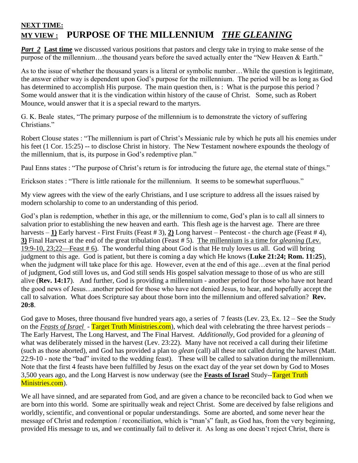# **NEXT TIME: MY VIEW : PURPOSE OF THE MILLENNIUM** *THE GLEANING*

*Part 2* Last time we discussed various positions that pastors and clergy take in trying to make sense of the purpose of the millennium...the thousand years before the saved actually enter the "New Heaven & Earth."

As to the issue of whether the thousand years is a literal or symbolic number…While the question is legitimate, the answer either way is dependent upon God's purpose for the millennium. The period will be as long as God has determined to accomplish His purpose. The main question then, is : What is the purpose this period ? Some would answer that it is the vindication within history of the cause of Christ. Some, such as Robert Mounce, would answer that it is a special reward to the martyrs.

G. K. Beale states, "The primary purpose of the millennium is to demonstrate the victory of suffering Christians."

Robert Clouse states : "The millennium is part of Christ's Messianic rule by which he puts all his enemies under his feet (1 Cor. 15:25) -- to disclose Christ in history. The New Testament nowhere expounds the theology of the millennium, that is, its purpose in God's redemptive plan."

Paul Enns states : "The purpose of Christ's return is for introducing the future age, the eternal state of things."

Erickson states : "There is little rationale for the millennium. It seems to be somewhat superfluous."

My view agrees with the view of the early Christians, and I use scripture to address all the issues raised by modern scholarship to come to an understanding of this period.

God's plan is redemption, whether in this age, or the millennium to come, God's plan is to call all sinners to salvation prior to establishing the new heaven and earth. This flesh age is the harvest age. There are three harvests – **1)** Early harvest - First Fruits (Feast # 3), **2)** Long harvest – Pentecost - the church age (Feast # 4), **3)** Final Harvest at the end of the great tribulation (Feast # 5). The millennium is a time for *gleaning* (Lev. 19:9-10, 23;22—Feast # 6). The wonderful thing about God is that He truly loves us all. God will bring judgment to this age. God is patient, but there is coming a day which He knows (**Luke 21:24; Rom. 11:25**), when the judgment will take place for this age. However, even at the end of this age…even at the final period of judgment, God still loves us, and God still sends His gospel salvation message to those of us who are still alive (**Rev. 14:17**). And further, God is providing a millennium - another period for those who have not heard the good news of Jesus…another period for those who have not denied Jesus, to hear, and hopefully accept the call to salvation. What does Scripture say about those born into the millennium and offered salvation? **Rev. 20:8**.

God gave to Moses, three thousand five hundred years ago, a series of 7 feasts (Lev. 23, Ex. 12 – See the Study on the *Feasts of Israel* - Target Truth Ministries.com), which deal with celebrating the three harvest periods – The Early Harvest, The Long Harvest, and The Final Harvest. *Additionally*, God provided for a *gleaning* of what was deliberately missed in the harvest (Lev. 23:22). Many have not received a call during their lifetime (such as those aborted), and God has provided a plan to *glean* (call) all these not called during the harvest (Matt. 22:9-10 - note the "bad" invited to the wedding feast). These will be called to salvation during the millennium. Note that the first 4 feasts have been fulfilled by Jesus on the exact day of the year set down by God to Moses 3,500 years ago, and the Long Harvest is now underway (see the **Feasts of Israel** Study--Target Truth Ministries.com).

We all have sinned, and are separated from God, and are given a chance to be reconciled back to God when we are born into this world. Some are spiritually weak and reject Christ. Some are deceived by false religions and worldly, scientific, and conventional or popular understandings. Some are aborted, and some never hear the message of Christ and redemption / reconciliation, which is "man's" fault, as God has, from the very beginning, provided His message to us, and we continually fail to deliver it. As long as one doesn't reject Christ, there is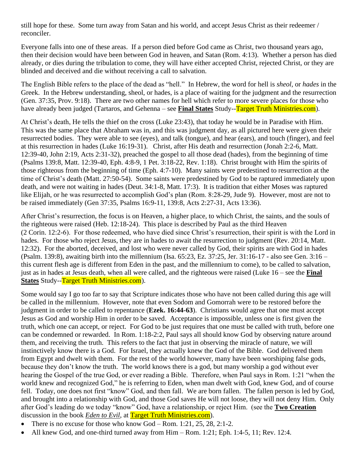still hope for these. Some turn away from Satan and his world, and accept Jesus Christ as their redeemer / reconciler.

Everyone falls into one of these areas. If a person died before God came as Christ, two thousand years ago, then their decision would have been between God in heaven, and Satan (Rom. 4:13). Whether a person has died already, or dies during the tribulation to come, they will have either accepted Christ, rejected Christ, or they are blinded and deceived and die without receiving a call to salvation.

The English Bible refers to the place of the dead as "hell." In Hebrew, the word for hell is *sheol,* or *hades* in the Greek. In the Hebrew understanding, sheol, or hades, is a place of waiting for the judgment and the resurrection (Gen. 37:35, Prov. 9:18). There are two other names for hell which refer to more severe places for those who have already been judged (Tartaros, and Gehenna – see **Final States** Study--Target Truth Ministries.com).

At Christ's death, He tells the thief on the cross (Luke 23:43), that today he would be in Paradise with Him. This was the same place that Abraham was in, and this was judgment day, as all pictured here were given their resurrected bodies. They were able to see (eyes), and talk (tongue), and hear (ears), and touch (finger), and feel at this resurrection in hades (Luke 16:19-31). Christ, after His death and resurrection (Jonah 2:2-6, Matt. 12:39-40, John 2:19, Acts 2:31-32), preached the gospel to all those dead (hades), from the beginning of time (Psalms 139:8, Matt. 12:39-40, Eph. 4:8-9, 1 Pet. 3:18-22, Rev. 1:18). Christ brought with Him the spirits of those righteous from the beginning of time (Eph. 4:7-10). Many saints were predestined to resurrection at the time of Christ's death (Matt. 27:50-54). Some saints were predestined by God to be raptured immediately upon death, and were not waiting in hades (Deut. 34:1-8, Matt. 17:3). It is tradition that either Moses was raptured like Elijah, or he was resurrected to accomplish God's plan (Rom. 8:28-29, Jude 9). However, most are not to be raised immediately (Gen 37:35, Psalms 16:9-11, 139:8, Acts 2:27-31, Acts 13:36).

After Christ's resurrection, the focus is on Heaven, a higher place, to which Christ, the saints, and the souls of the righteous were raised (Heb. 12:18-24). This place is described by Paul as the third Heaven (2 Corin. 12:2-6). For those redeemed, who have died since Christ's resurrection, their spirit is with the Lord in hades. For those who reject Jesus, they are in hades to await the resurrection to judgment (Rev. 20:14, Matt. 12:32). For the aborted, deceived, and lost who were never called by God, their spirits are with God in hades (Psalm. 139:8), awaiting birth into the millennium (Isa. 65:23, Ez. 37:25, Jer. 31:16-17 - also see Gen. 3:16 – this current flesh age is different from Eden in the past, and the millennium to come), to be called to salvation, just as in hades at Jesus death, when all were called, and the righteous were raised (Luke 16 – see the **Final States** Study--Target Truth Ministries.com).

Some would say I go too far to say that Scripture indicates those who have not been called during this age will be called in the millennium. However, note that even Sodom and Gomorrah were to be restored before the judgment in order to be called to repentance (**Ezek. 16:44-63**). Christians would agree that one must accept Jesus as God and worship Him in order to be saved. Acceptance is impossible, unless one is first given the truth, which one can accept, or reject. For God to be just requires that one must be called with truth, before one can be condemned or rewarded. In Rom. 1:18-2:2, Paul says all should know God by observing nature around them, and receiving the truth. This refers to the fact that just in observing the miracle of nature, we will instinctively know there is a God. For Israel, they actually knew the God of the Bible. God delivered them from Egypt and dwelt with them. For the rest of the world however, many have been worshiping false gods, because they don't know the truth. The world knows there is a god, but many worship a god without ever hearing the Gospel of the true God, or ever reading a Bible. Therefore, when Paul says in Rom. 1:21 "when the world knew and recognized God," he is referring to Eden, when man dwelt with God, knew God, and of course fell. Today, one does not first "know" God, and then fall. We are born fallen. The fallen person is led by God, and brought into a relationship with God, and those God saves He will not loose, they will not deny Him. Only after God's leading do we today "know" God, have a relationship, or reject Him. (see the **Two Creation** discussion in the book *Eden to Evil*, at Target Truth Ministries.com).

- There is no excuse for those who know God Rom.  $1:21$ ,  $25$ ,  $28$ ,  $2:1-2$ .
- All knew God, and one-third turned away from Him Rom. 1:21; Eph. 1:4-5, 11; Rev. 12:4.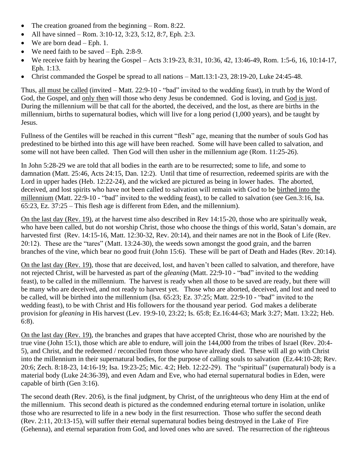- The creation groaned from the beginning Rom. 8:22.
- All have sinned Rom. 3:10-12, 3:23, 5:12, 8:7, Eph. 2:3.
- We are born dead Eph. 1.
- We need faith to be saved Eph. 2:8-9.
- We receive faith by hearing the Gospel Acts  $3:19-23$ ,  $8:31$ ,  $10:36$ ,  $42$ ,  $13:46-49$ , Rom.  $1:5-6$ ,  $16$ ,  $10:14-17$ , Eph. 1:13.
- Christ commanded the Gospel be spread to all nations Matt.13:1-23, 28:19-20, Luke 24:45-48.

Thus, all must be called (invited – Matt. 22:9-10 - "bad" invited to the wedding feast), in truth by the Word of God, the Gospel, and only then will those who deny Jesus be condemned. God is loving, and God is just. During the millennium will be that call for the aborted, the deceived, and the lost, as there are births in the millennium, births to supernatural bodies, which will live for a long period (1,000 years), and be taught by Jesus.

Fullness of the Gentiles will be reached in this current "flesh" age, meaning that the number of souls God has predestined to be birthed into this age will have been reached. Some will have been called to salvation, and some will not have been called. Then God will then usher in the millennium age (Rom. 11:25-26).

In John 5:28-29 we are told that all bodies in the earth are to be resurrected; some to life, and some to damnation (Matt. 25:46, Acts 24:15, Dan. 12:2). Until that time of resurrection, redeemed spirits are with the Lord in upper hades (Heb. 12:22-24), and the wicked are pictured as being in lower hades. The aborted, deceived, and lost spirits who have not been called to salvation will remain with God to be birthed into the millennium (Matt. 22:9-10 - "bad" invited to the wedding feast), to be called to salvation (see Gen.3:16, Isa. 65:23, Ez. 37:25 – This flesh age is different from Eden, and the millennium).

On the last day (Rev. 19), at the harvest time also described in Rev 14:15-20, those who are spiritually weak, who have been called, but do not worship Christ, those who choose the things of this world, Satan's domain, are harvested first (Rev. 14:15-16, Matt. 12:30-32, Rev. 20:14), and their names are not in the Book of Life (Rev. 20:12). These are the "tares" (Matt. 13:24-30), the weeds sown amongst the good grain, and the barren branches of the vine, which bear no good fruit (John 15:6). These will be part of Death and Hades (Rev. 20:14).

On the last day (Rev. 19), those that are deceived, lost, and haven't been called to salvation, and therefore, have not rejected Christ, will be harvested as part of the *gleaning* (Matt. 22:9-10 - "bad" invited to the wedding feast), to be called in the millennium. The harvest is ready when all those to be saved are ready, but there will be many who are deceived, and not ready to harvest yet. Those who are aborted, deceived, and lost and need to be called, will be birthed into the millennium (Isa. 65:23; Ez. 37:25; Matt. 22:9-10 - "bad" invited to the wedding feast), to be with Christ and His followers for the thousand year period. God makes a deliberate provision for *gleaning* in His harvest (Lev. 19:9-10, 23:22; Is. 65:8; Ez.16:44-63; Mark 3:27; Matt. 13:22; Heb. 6:8).

On the last day (Rev. 19), the branches and grapes that have accepted Christ, those who are nourished by the true vine (John 15:1), those which are able to endure, will join the 144,000 from the tribes of Israel (Rev. 20:4- 5), and Christ, and the redeemed / reconciled from those who have already died. These will all go with Christ into the millennium in their supernatural bodies, for the purpose of calling souls to salvation (Ez.44:10-28; Rev. 20:6; Zech. 8:18-23, 14:16-19; Isa. 19:23-25; Mic. 4:2; Heb. 12:22-29). The "spiritual" (supernatural) body is a material body (Luke 24:36-39), and even Adam and Eve, who had eternal supernatural bodies in Eden, were capable of birth (Gen 3:16).

The second death (Rev. 20:6), is the final judgment, by Christ, of the unrighteous who deny Him at the end of the millennium. This second death is pictured as the condemned enduring eternal torture in isolation, unlike those who are resurrected to life in a new body in the first resurrection. Those who suffer the second death (Rev. 2:11, 20:13-15), will suffer their eternal supernatural bodies being destroyed in the Lake of Fire (Gehenna), and eternal separation from God, and loved ones who are saved. The resurrection of the righteous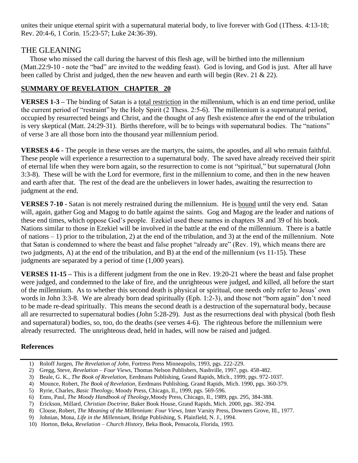unites their unique eternal spirit with a supernatural material body, to live forever with God (1Thess. 4:13-18; Rev. 20:4-6, 1 Corin. 15:23-57; Luke 24:36-39).

# THE GLEANING

 Those who missed the call during the harvest of this flesh age, will be birthed into the millennium (Matt.22:9-10 - note the "bad" are invited to the wedding feast). God is loving, and God is just. After all have been called by Christ and judged, then the new heaven and earth will begin (Rev. 21 & 22).

## **SUMMARY OF REVELATION CHAPTER 20**

**VERSES 1-3 –** The binding of Satan is a total restriction in the millennium, which is an end time period, unlike the current period of "restraint" by the Holy Spirit (2 Thess. 2:5-6). The millennium is a supernatural period, occupied by resurrected beings and Christ, and the thought of any flesh existence after the end of the tribulation is very skeptical (Matt. 24:29-31). Births therefore, will be to beings with supernatural bodies. The "nations" of verse 3 are all those born into the thousand year millennium period.

**VERSES 4-6 -** The people in these verses are the martyrs, the saints, the apostles, and all who remain faithful. These people will experience a resurrection to a supernatural body. The saved have already received their spirit of eternal life when they were born again, so the resurrection to come is not "spiritual," but supernatural (John 3:3-8). These will be with the Lord for evermore, first in the millennium to come, and then in the new heaven and earth after that. The rest of the dead are the unbelievers in lower hades, awaiting the resurrection to judgment at the end.

**VERSES 7-10 -** Satan is not merely restrained during the millennium. He is bound until the very end. Satan will, again, gather Gog and Magog to do battle against the saints. Gog and Magog are the leader and nations of these end times, which oppose God's people. Ezekiel used these names in chapters 38 and 39 of his book. Nations similar to those in Ezekiel will be involved in the battle at the end of the millennium. There is a battle of nations  $-1$ ) prior to the tribulation, 2) at the end of the tribulation, and 3) at the end of the millennium. Note that Satan is condemned to where the beast and false prophet "already are" (Rev. 19), which means there are two judgments, A) at the end of the tribulation, and B) at the end of the millennium (vs 11-15). These judgments are separated by a period of time (1,000 years).

**VERSES 11-15 –** This is a different judgment from the one in Rev. 19:20-21 where the beast and false prophet were judged, and condemned to the lake of fire, and the unrighteous were judged, and killed, all before the start of the millennium. As to whether this second death is physical or spiritual, one needs only refer to Jesus' own words in John 3:3-8. We are already born dead spiritually (Eph. 1:2-3), and those not "born again" don't need to be made re-dead spiritually. This means the second death is a destruction of the supernatural body, because all are resurrected to supernatural bodies (John 5:28-29). Just as the resurrections deal with physical (both flesh and supernatural) bodies, so, too, do the deaths (see verses 4-6). The righteous before the millennium were already resurrected. The unrighteous dead, held in hades, will now be raised and judged.

#### **References**

- 1) Roloff Jurgen, *The Revelation of John,* Fortress Press Minneapolis, 1993, pgs. 222-229.
- 2) Gregg, Steve, *Revelation – Four Views,* Thomas Nelson Publishers, Nashville, 1997, pgs. 458-482.
- 3) Beale, G. K., *The Book of Revelation,* Eerdmans Publishing, Grand Rapids, Mich., 1999, pgs. 972-1037.
- 4) Mounce, Robert, *The Book of Revelation,* Eerdmans Publishing, Grand Rapids, Mich. 1990, pgs. 360-379.
- 5) Ryrie, Charles, *Basic Theology,* Moody Press, Chicago, Il., 1999, pgs. 569-596.
- 6) Enns, Paul, *The Moody Handbook of Theology,*Moody Press, Chicago, Il., 1989, pgs. 295, 384-388.
- 7) Erickson, Millard, *Christian Doctrine,* Baker Book House, Grand Rapids, Mich. 2000, pgs. 382-394.
- 8) Clouse, Robert, *The Meaning of the Millennium: Four Views,* Inter Varsity Press, Downers Grove, Ill., 1977.
- 9) Johnian, Mona, *Life in the Millennium,* Bridge Publishing, S. Plainfield, N. J., 1994.
- 10) Horton, Beka, *Revelation – Church History,* Beka Book, Pensacola, Florida, 1993.